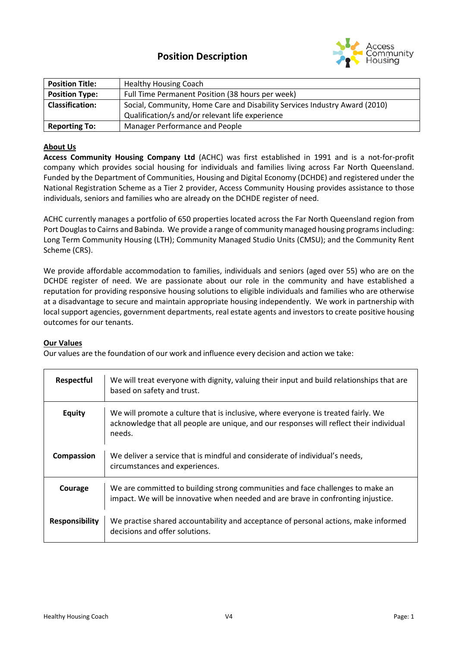

| <b>Position Title:</b> | <b>Healthy Housing Coach</b>                                               |
|------------------------|----------------------------------------------------------------------------|
| <b>Position Type:</b>  | Full Time Permanent Position (38 hours per week)                           |
| <b>Classification:</b> | Social, Community, Home Care and Disability Services Industry Award (2010) |
|                        | Qualification/s and/or relevant life experience                            |
| <b>Reporting To:</b>   | Manager Performance and People                                             |

## **About Us**

**Access Community Housing Company Ltd** (ACHC) was first established in 1991 and is a not-for-profit company which provides social housing for individuals and families living across Far North Queensland. Funded by the Department of Communities, Housing and Digital Economy (DCHDE) and registered under the National Registration Scheme as a Tier 2 provider, Access Community Housing provides assistance to those individuals, seniors and families who are already on the DCHDE register of need.

ACHC currently manages a portfolio of 650 properties located across the Far North Queensland region from Port Douglas to Cairns and Babinda. We provide a range of community managed housing programs including: Long Term Community Housing (LTH); Community Managed Studio Units (CMSU); and the Community Rent Scheme (CRS).

We provide affordable accommodation to families, individuals and seniors (aged over 55) who are on the DCHDE register of need. We are passionate about our role in the community and have established a reputation for providing responsive housing solutions to eligible individuals and families who are otherwise at a disadvantage to secure and maintain appropriate housing independently. We work in partnership with local support agencies, government departments, real estate agents and investors to create positive housing outcomes for our tenants.

#### **Our Values**

 $\overline{1}$ 

Our values are the foundation of our work and influence every decision and action we take:

| Respectful            | We will treat everyone with dignity, valuing their input and build relationships that are<br>based on safety and trust.                                                                |
|-----------------------|----------------------------------------------------------------------------------------------------------------------------------------------------------------------------------------|
| <b>Equity</b>         | We will promote a culture that is inclusive, where everyone is treated fairly. We<br>acknowledge that all people are unique, and our responses will reflect their individual<br>needs. |
| Compassion            | We deliver a service that is mindful and considerate of individual's needs,<br>circumstances and experiences.                                                                          |
| Courage               | We are committed to building strong communities and face challenges to make an<br>impact. We will be innovative when needed and are brave in confronting injustice.                    |
| <b>Responsibility</b> | We practise shared accountability and acceptance of personal actions, make informed<br>decisions and offer solutions.                                                                  |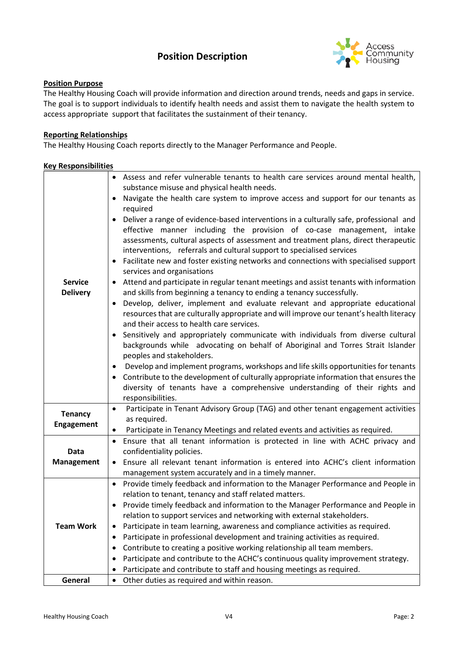# **Position Description**



## **Position Purpose**

The Healthy Housing Coach will provide information and direction around trends, needs and gaps in service. The goal is to support individuals to identify health needs and assist them to navigate the health system to access appropriate support that facilitates the sustainment of their tenancy.

## **Reporting Relationships**

The Healthy Housing Coach reports directly to the Manager Performance and People.

#### **Key Responsibilities**

|                                   | • Assess and refer vulnerable tenants to health care services around mental health,<br>substance misuse and physical health needs.                                                                                                                                                                                                            |
|-----------------------------------|-----------------------------------------------------------------------------------------------------------------------------------------------------------------------------------------------------------------------------------------------------------------------------------------------------------------------------------------------|
| <b>Service</b><br><b>Delivery</b> | Navigate the health care system to improve access and support for our tenants as<br>$\bullet$<br>required                                                                                                                                                                                                                                     |
|                                   | Deliver a range of evidence-based interventions in a culturally safe, professional and<br>$\bullet$<br>effective manner including the provision of co-case management, intake<br>assessments, cultural aspects of assessment and treatment plans, direct therapeutic<br>interventions, referrals and cultural support to specialised services |
|                                   | Facilitate new and foster existing networks and connections with specialised support<br>$\bullet$<br>services and organisations                                                                                                                                                                                                               |
|                                   | • Attend and participate in regular tenant meetings and assist tenants with information<br>and skills from beginning a tenancy to ending a tenancy successfully.                                                                                                                                                                              |
|                                   | Develop, deliver, implement and evaluate relevant and appropriate educational<br>$\bullet$<br>resources that are culturally appropriate and will improve our tenant's health literacy<br>and their access to health care services.                                                                                                            |
|                                   | Sensitively and appropriately communicate with individuals from diverse cultural<br>backgrounds while advocating on behalf of Aboriginal and Torres Strait Islander<br>peoples and stakeholders.                                                                                                                                              |
|                                   | Develop and implement programs, workshops and life skills opportunities for tenants<br>$\bullet$                                                                                                                                                                                                                                              |
|                                   | Contribute to the development of culturally appropriate information that ensures the<br>diversity of tenants have a comprehensive understanding of their rights and<br>responsibilities.                                                                                                                                                      |
| <b>Tenancy</b>                    | Participate in Tenant Advisory Group (TAG) and other tenant engagement activities<br>$\bullet$                                                                                                                                                                                                                                                |
| <b>Engagement</b>                 | as required.<br>Participate in Tenancy Meetings and related events and activities as required.<br>$\bullet$                                                                                                                                                                                                                                   |
|                                   | Ensure that all tenant information is protected in line with ACHC privacy and<br>$\bullet$                                                                                                                                                                                                                                                    |
| Data<br><b>Management</b>         | confidentiality policies.                                                                                                                                                                                                                                                                                                                     |
|                                   | • Ensure all relevant tenant information is entered into ACHC's client information<br>management system accurately and in a timely manner.                                                                                                                                                                                                    |
| <b>Team Work</b>                  | Provide timely feedback and information to the Manager Performance and People in<br>$\bullet$                                                                                                                                                                                                                                                 |
|                                   | relation to tenant, tenancy and staff related matters.                                                                                                                                                                                                                                                                                        |
|                                   | • Provide timely feedback and information to the Manager Performance and People in                                                                                                                                                                                                                                                            |
|                                   | relation to support services and networking with external stakeholders.                                                                                                                                                                                                                                                                       |
|                                   | Participate in team learning, awareness and compliance activities as required.                                                                                                                                                                                                                                                                |
|                                   | Participate in professional development and training activities as required.                                                                                                                                                                                                                                                                  |
|                                   | Contribute to creating a positive working relationship all team members.                                                                                                                                                                                                                                                                      |
|                                   | Participate and contribute to the ACHC's continuous quality improvement strategy.                                                                                                                                                                                                                                                             |
|                                   | Participate and contribute to staff and housing meetings as required.                                                                                                                                                                                                                                                                         |
| General                           | Other duties as required and within reason.                                                                                                                                                                                                                                                                                                   |